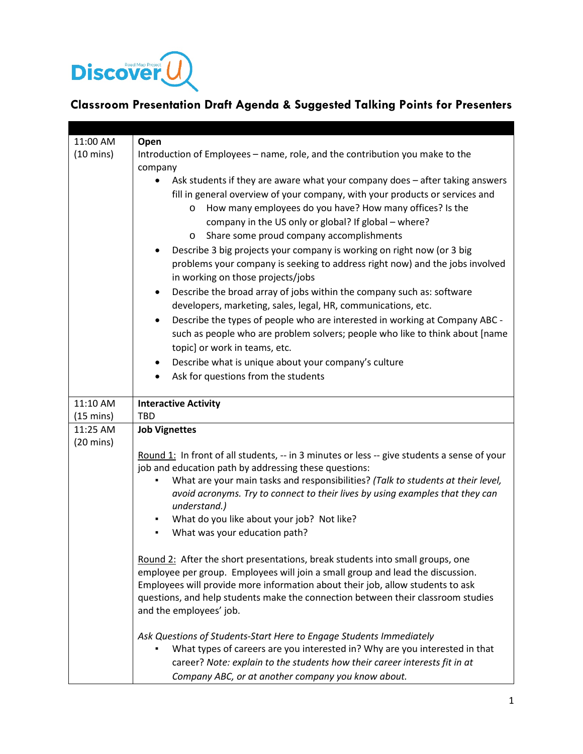

## **Classroom Presentation Draft Agenda & Suggested Talking Points for Presenters**

| 11:00 AM            | Open                                                                                                                                                         |
|---------------------|--------------------------------------------------------------------------------------------------------------------------------------------------------------|
| $(10 \text{ mins})$ | Introduction of Employees - name, role, and the contribution you make to the<br>company                                                                      |
|                     | Ask students if they are aware what your company does - after taking answers<br>fill in general overview of your company, with your products or services and |
|                     | How many employees do you have? How many offices? Is the<br>$\circ$<br>company in the US only or global? If global - where?                                  |
|                     | Share some proud company accomplishments<br>$\circ$                                                                                                          |
|                     | Describe 3 big projects your company is working on right now (or 3 big                                                                                       |
|                     | problems your company is seeking to address right now) and the jobs involved<br>in working on those projects/jobs                                            |
|                     | Describe the broad array of jobs within the company such as: software<br>$\bullet$<br>developers, marketing, sales, legal, HR, communications, etc.          |
|                     | Describe the types of people who are interested in working at Company ABC -                                                                                  |
|                     | such as people who are problem solvers; people who like to think about [name                                                                                 |
|                     | topic] or work in teams, etc.                                                                                                                                |
|                     | Describe what is unique about your company's culture<br>$\bullet$                                                                                            |
|                     | Ask for questions from the students                                                                                                                          |
| 11:10 AM            | <b>Interactive Activity</b>                                                                                                                                  |
| $(15 \text{ mins})$ | <b>TBD</b>                                                                                                                                                   |
| 11:25 AM            | <b>Job Vignettes</b>                                                                                                                                         |
| $(20 \text{ mins})$ |                                                                                                                                                              |
|                     | Round 1: In front of all students, -- in 3 minutes or less -- give students a sense of your<br>job and education path by addressing these questions:         |
|                     | What are your main tasks and responsibilities? (Talk to students at their level,                                                                             |
|                     | avoid acronyms. Try to connect to their lives by using examples that they can<br>understand.)                                                                |
|                     | What do you like about your job? Not like?                                                                                                                   |
|                     | What was your education path?                                                                                                                                |
|                     |                                                                                                                                                              |
|                     | Round 2: After the short presentations, break students into small groups, one                                                                                |
|                     | employee per group. Employees will join a small group and lead the discussion.                                                                               |
|                     | Employees will provide more information about their job, allow students to ask                                                                               |
|                     | questions, and help students make the connection between their classroom studies<br>and the employees' job.                                                  |
|                     | Ask Questions of Students-Start Here to Engage Students Immediately                                                                                          |
|                     | What types of careers are you interested in? Why are you interested in that                                                                                  |
|                     |                                                                                                                                                              |
|                     | career? Note: explain to the students how their career interests fit in at<br>Company ABC, or at another company you know about.                             |